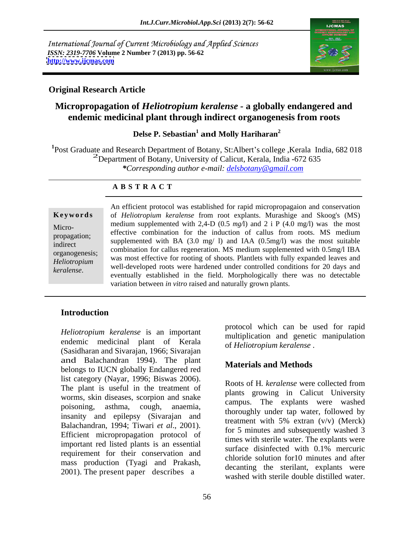International Journal of Current Microbiology and Applied Sciences *ISSN: 2319-7706* **Volume 2 Number 7 (2013) pp. 56-62 <http://www.ijcmas.com>**



### **Original Research Article**

# **Micropropagation of** *Heliotropium keralense -* **a globally endangered and endemic medicinal plant through indirect organogenesis from roots**

Delse P. Sebastian<sup>1</sup> and Molly Hariharan<sup>2</sup> **and Molly Hariharan2**

<sup>1</sup>Post Graduate and Research Department of Botany, St:Albert's college, Kerala India, 682 018 <sup>2</sup>Department of Botany, University of Calicut, Kerala, India -672 635 *\*Corresponding author e-mail: delsbotany@gmail.com*

#### **A B S T R A C T**

**Ke ywo rds** of *Heliotropium keralense* from root explants. Murashige and Skoog's (MS) Micro-<br>Micro-<br> $\frac{1}{2}$   $\frac{1}{2}$   $\frac{1}{2}$   $\frac{1}{2}$   $\frac{1}{2}$   $\frac{1}{2}$   $\frac{1}{2}$   $\frac{1}{2}$   $\frac{1}{2}$   $\frac{1}{2}$   $\frac{1}{2}$   $\frac{1}{2}$   $\frac{1}{2}$   $\frac{1}{2}$   $\frac{1}{2}$   $\frac{1}{2}$   $\frac{1}{2}$   $\frac{1}{2}$   $\frac{1}{2}$   $\frac{1}{2}$   $\frac{1}{2$ propagation; effective combination for the induction of callus from roots. MS medium indirect supplemented with BA  $(3.0 \text{ mg}/1)$  and IAA  $(0.5 \text{ mg}/1)$  was the most suitable indirect organogenesis;<br>
was most effective for rooting of shoots. Plantlets with fully expanded leaves and<br>
was most effective for rooting of shoots. Plantlets with fully expanded leaves and *Heliotropium* was most effective for footing of shoots. Franciety with fully expanded leaves and well-developed roots were hardened under controlled conditions for 20 days and **Keywords**<br> **Keywords**<br> *keralense* from root explants. Murashige and Skoog's (MS)<br>
medium supplemented with 2,4-D (0.5 mg/l) and 2 i P (4.0 mg/l) was the most<br>
effective combination for the induction of callus from roots. medium supplemented with 2,4-D (0.5 *mg/*l) and 2 i P (4.0 mg/l) was the most combination for callus regeneration. MS medium supplemented with 0.5mg/l IBA eventually established in the field. Morphologically there was no detectable variation between *in vitro* raised and naturally grown plants.

## **Introduction**

*Heliotropium keralense* is an important endemic medicinal plant of Kerala (Sasidharan and Sivarajan, 1966; Sivarajan and Balachandran 1994). The plant belongs to IUCN globally Endangered red list category (Nayar, 1996; Biswas 2006).<br>Roots of H. keralense were collected from The plant is useful in the treatment of the plants growing in Calicut University worms, skin diseases, scorpion and snake all plants growing in Cancut University<br>campus. The explants were washed poisoning, asthma, cough, anaemia, computer the capitality and epilepsy (Sivarajan and thoroughly under tap water, followed by Balachandran, 1994; Tiwari *et al*., 2001). Efficient micropropagation protocol of important red listed plants is an essential surface disinfected with 0.1% mercuric requirement for their conservation and mass production (Tyagi and Prakash, 2001). The present paper describes a

protocol which can be used for rapid multiplication and genetic manipulation of *Heliotropium keralense* .

## **Materials and Methods**

Roots of H*. keralense* were collected from plants growing in Calicut University campus. The explants were washed thoroughly under tap water, followed by treatment with 5% extran (v/v) (Merck) for 5 minutes and subsequently washed 3 times with sterile water. The explants were surface disinfected with 0.1% mercuric chloride solution for10 minutes and after decanting the sterilant, explants were washed with sterile double distilled water.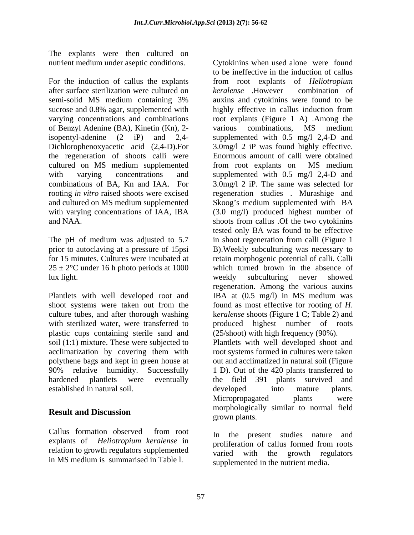The explants were then cultured on

For the induction of callus the explants from root explants of *Heliotropium*  after surface sterilization were cultured on *keralense* However combination of semi-solid MS medium containing 3% auxins and cytokinins were found to be sucrose and 0.8% agar, supplemented with highly effective in callus induction from varying concentrations and combinations root explants (Figure 1 A) .Among the of Benzyl Adenine (BA), Kinetin (Kn), 2 isopentyl-adenine (2 iP) and 2,4- supplemented with 0.5 mg/l 2,4-D and Dichlorophenoxyacetic acid (2,4-D).For 3.0mg/l 2 iP was found highly effective. the regeneration of shoots calli were Enormous amount of calli were obtained cultured on MS medium supplemented from root explants on MS medium with varying concentrations and supplemented with 0.5 mg/l 2,4-D and combinations of BA, Kn and IAA. For 3.0mg/l 2 iP. The same was selected for rooting *in vitro* raised shoots were excised regeneration studies . Murashige and and cultured on MS medium supplemented Skoog's medium supplemented with BA with varying concentrations of IAA, IBA (3.0 mg/l) produced highest number of and NAA. shoots from callus .Of the two cytokinins

 $25 \pm 2$ °C under 16 h photo periods at 1000 lux light. The contract of the contract of the contract of the veekly subculturing never showed

 Plantlets with well developed root and culture tubes, and after thorough washing keralense shoots (Figure 1 C; Table 2) and plastic cups containing sterile sand and<br>soil (1:1) mixture. These were subjected to acclimatization by covering them with polythene bags and kept in green house at established in natural soil.

Callus formation observed from root  $\overline{a}$  the present studies nature and explants of *Heliotropium keralense* in In the present studies nature and explants of *Heliotropium keralense* in relation to growth regulators supplemented in MS medium is summarised in Table l.

nutrient medium under aseptic conditions. Cytokinins when used alone were found The pH of medium was adjusted to 5.7 in shoot regeneration from calli (Figure 1 prior to autoclaving at a pressure of 15psi B).Weekly subculturing was necessary to for 15 minutes. Cultures were incubated at retain morphogenic potential of calli. Calli shoot systems were taken out from the found as most effective for rooting of H. with sterilized water, were transferred to correctluded highest number of roots soil (1:1) mixture. These were subjected to Plantlets with well developed shoot and 90% relative humidity. Successfully 1 D). Out of the 420 plants transferred to hardened plantlets were eventually the field 391 plants survived and **Result and Discussion** to be ineffective in the induction of callus *keralense* .However combination of highly effective in callus induction from various combinations, MS medium from root explants on MS medium tested only BA was found to be effective which turned brown in the absence of weekly subculturing never showed regeneration. Among the various auxins IBA at (0.5 mg/l) in MS medium was found as most effective for rooting of *<sup>H</sup>*. k*eralense* shoots (Figure 1 C; Table 2) and (25/shoot) with high frequency (90%). root systems formed in cultures were taken out and acclimatized in natural soil (Figure developed into mature plants. Micropropagated plants were morphologically similar to normal field grown plants.<br>In the present studies nature and

proliferation of callus formed from roots varied with the growth regulators supplemented in the nutrient media.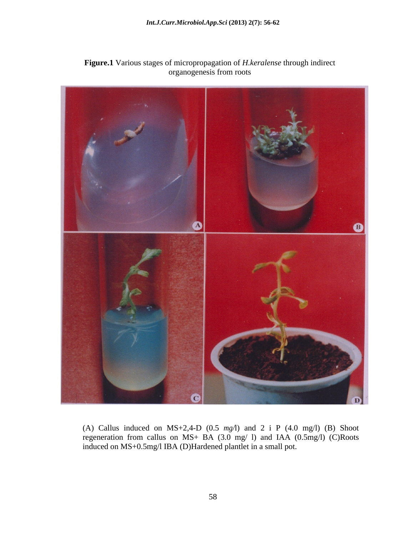

**Figure.1** Various stages of micropropagation of *H.keralense* through indirect organogenesis from roots

(A) Callus induced on  $MS+2,4-D$  (0.5  $mg/1$ ) and 2 i P (4.0 mg/l) (B) Shoot regeneration from callus on MS+ BA (3.0 mg/ l) and IAA (0.5mg/l) (C)Roots induced on MS+0.5mg/l IBA (D)Hardened plantlet in a small pot.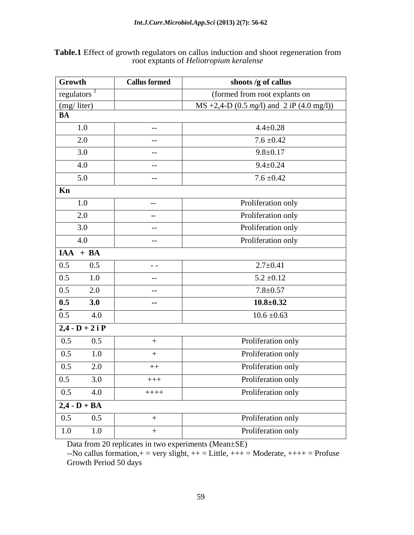| Table.1 Effect of g<br>s and shoot regeneration from<br>growth regu |  |  |
|---------------------------------------------------------------------|--|--|
| root exptants of <i>Helio</i><br>лит кеғалепу                       |  |  |

| Growth                            | <b>Callus formed</b> | shoots /g of callus                          |
|-----------------------------------|----------------------|----------------------------------------------|
| regulators $^{-1}$                |                      | (formed from root explants on                |
| (mg/liter)                        |                      | MS +2,4-D (0.5 $mg/1$ ) and 2 iP (4.0 mg/l)) |
| BA                                |                      |                                              |
| 1.0                               | $-$                  | $4.4 \pm 0.28$                               |
| 2.0                               | $ -$                 | $7.6 \pm 0.42$                               |
| 3.0                               | $ -$                 | $9.8 \pm 0.17$                               |
| 4.0                               | $-$                  | $9.4 \pm 0.24$                               |
| 5.0                               | $- -$                | $7.6 \pm 0.42$                               |
| Kn                                |                      |                                              |
| 1.0                               | $-$                  | Proliferation only                           |
| 2.0                               | $\sim$               | Proliferation only                           |
| 3.0                               | $ -$                 | Proliferation only                           |
| 4.0                               | $-$                  | Proliferation only                           |
| $A + \overline{BA}$               |                      |                                              |
| 0.5<br>$0.5\,$                    | $\sim$ $  \sim$      | $2.7 \pm 0.41$                               |
| $0.5\,$<br>1.0                    | $ -$                 | $5.2 \pm 0.12$                               |
| $0.5\,$<br>2.0                    | $ -$                 | $7.8 + 0.57$                                 |
| 0.5<br>3.0                        | $-$                  | $10.8 \pm 0.32$                              |
|                                   |                      |                                              |
| $0.5\,$<br>4.0                    |                      | $10.6 \pm 0.63$                              |
| $\boxed{2,4 \cdot D + 2 i P}$     |                      |                                              |
| 0.5<br>0.5                        |                      | Proliferation only                           |
| 0.5<br>1.0                        | $+$                  | Proliferation only                           |
| 2.0<br>$0.5\,$                    | $++$                 | Proliferation only                           |
| $\overline{0.5}$ $\overline{3.0}$ | $+++$                | Proliferation only                           |
| $\boxed{0.5}$<br>4.0              | $++++-$              | Proliferation only                           |
| $\overline{2,4 - D + BA}$         |                      |                                              |
| 0.5<br>0.5                        | $+$                  | Proliferation only                           |
| 1.0<br>1.0                        |                      | Proliferation only                           |

Data from 20 replicates in two experiments (Mean±SE)

 $-$ No callus formation,  $+$  = very slight,  $++$  = Little,  $++$  = Moderate,  $++$  + = Profuse Growth Period 50 days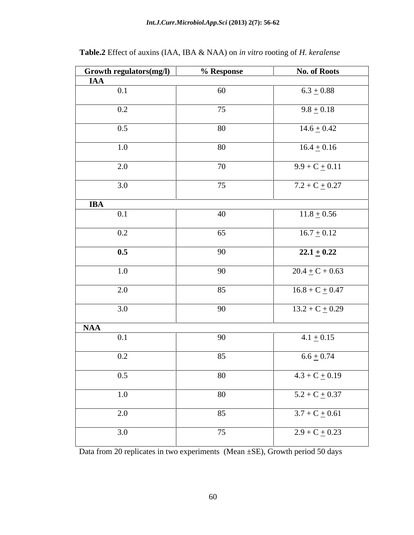| <b>Growth regulators(mg/l)</b>         | % Response | <b>No. of Roots</b> |
|----------------------------------------|------------|---------------------|
| <b>IAA</b>                             |            |                     |
| $\overline{0.1}$                       | 60         | $6.3 \pm 0.88$      |
| 0.2                                    | 75         | $9.8 \pm 0.18$      |
| 0.5                                    | 80         | $14.6 \pm 0.42$     |
| 1.0                                    | 80         | $16.4 \pm 0.16$     |
| 2.0                                    | 70         | $9.9 + C + 0.11$    |
| 3.0                                    | 75         | $7.2 + C + 0.27$    |
| <b>IBA</b>                             |            |                     |
| 0.1                                    | 40         | $11.8 \pm 0.56$     |
| 0.2                                    | 65         | $16.7 \pm 0.12$     |
| $\overline{\phantom{0}0.5\phantom{0}}$ | 90         | $22.1 \pm 0.22$     |
| 1.0                                    | 90         | $20.4 \pm C + 0.63$ |
| 2.0                                    | 85         | $16.8 + C + 0.47$   |
| 3.0                                    | 90         | $13.2 + C + 0.29$   |
|                                        |            |                     |
| <b>NAA</b><br>0.1                      | 90         | $4.1 \pm 0.15$      |
|                                        |            |                     |
| 0.2                                    | 85         | $6.6 \pm 0.74$      |
| $0.5\,$                                | 80         | $4.3 + C + 0.19$    |
| 1.0                                    | 80         | $5.2 + C + 0.37$    |
| 2.0                                    | 85         | $3.7 + C + 0.61$    |
| 3.0                                    | 75         | $2.9 + C + 0.23$    |

**Table.2** Effect of auxins (IAA, IBA & NAA) on *in vitro* rooting of *H. keralense*

Data from 20 replicates in two experiments (Mean ±SE), Growth period 50 days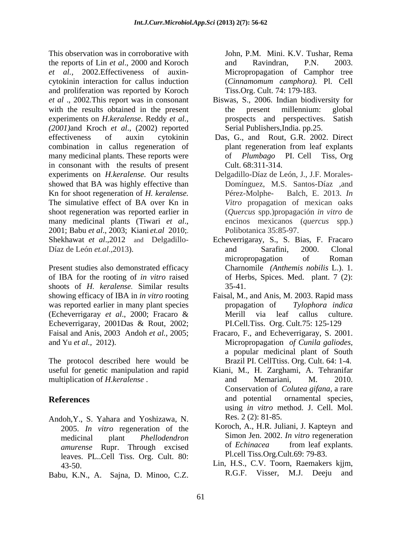This observation was in corroborative with the reports of Lin *et al*., 2000 and Koroch *et al.,* 2002.Effectiveness of auxin- Micropropagation of Camphor tree cytokinin interaction for callus induction and proliferation was reported by Koroch *et al* ., 2002*.*This report was in consonant Biswas, S., 2006. Indian biodiversity for with the results obtained in the present the present millennium: global experiments on *H.keralense*. Reddy *et al.*, prospects and perspectives. Satish (2001)and Kroch *et al.*, (2002) reported Serial Publishers, India. pp.25. effectiveness of auxin cytokinin Das, G., and Rout, G.R. 2002. Direct combination in callus regeneration of many medicinal plants*.* These reports were in consonant with the results of present Cult. 68:311-314. experiments on *H.keralense.* Our results showed that BA was highly effective than Kn for shoot regeneration of *H. keralense.* The simulative effect of BA over Kn in shoot regeneration was reported earlier in many medicinal plants (Tiwari *et al.*, encinos mexicanos (*quercus* spp.)<br>2001; Babu *et al.*, 2003; Kiani *et.al* 2010;. Polibotanica 35:85-97.<br>Shekhawat *et al.*,2012 and Delgadillo- Echeverrigaray, S., S. Bias, F. Frac

of IBA for the rooting of *in vitro* raised shoots of *H. keralense*. Similar results 35-41. showing efficacy of IBA in *in vitro* rooting Faisal, M., and Anis, M. 2003. Rapid mass was reported earlier in many plant species propagation of Tylophora indica (Echeverrigaray *et al*., 2000; Fracaro & Echeverrigaray, 2001Das & Rout, 2002; Faisal and Anis, 2003 Andoh *et al.,* 2005;

The protocol described here would be multiplication of *H.keralense* . The and Memariani, M. 2010.

- Andoh,Y., S. Yahara and Yoshizawa, N. 2005. *In vitro* regeneration of the leaves. PL..Cell Tiss. Org. Cult. 80:
- Babu, K.N., A. Sajna, D. Minoo, C.Z. R.G.F. Visser, M.J. Deeju and

John, P.M. Mini. K.V. Tushar, Rema and Ravindran, P.N. 2003. (*Cinnamomum camphora).* Pl. CeIl Tiss.Org. Cult. 74: 179-183.

- the present millennium: global prospects and perspectives. Satish Serial Publishers,India. pp.25.
- plant regeneration from leaf explants of *Plumbago* PI. Cell Tiss, Org
- Delgadillo-Díaz de León, J., J.F. Morales- Domínguez, M.S. Santos-Díaz ,and Balch, E. 2013. *In Vitro* propagation of mexican oaks (*Quercus* spp.)propagación *in vitro* de encinos mexicanos (*quercus* spp.) Polibotanica 35:85-97.
- Díaz de León *et.al.*,2013). <br>
micropropagation of Roman<br>
Present studies also demonstrated efficacy Charnomile (*Anthemis nobilis* L.). 1. Echeverrigaray, S., S. Bias, F. Fracaro and Sarafini, 2000. Clonal micropropagation of Roman Charnomile *(Anthemis nobilis* L.). 1. of Herbs, Spices. Med. plant. 7 (2): 35-41.
	- propagation of *Tylophora indica* Merill via leaf callus culture. PI.Cell.Tiss. Org. Cult.75: 125-129
- and Yu *et al.,* 2012). Micropropagation *of Cunila galiodes,* Fracaro, F., and Echeverrigaray, S. 2001. a popular medicinal plant of South Brazil PI. CellTtiss. Org. Cult. 64: 1-4.
- useful for genetic manipulation and rapid Kiani, M., H. Zarghami, A. Tehranifar **References** and potential ornamental species, and Memariani, M. 2010. Conservation of *Colutea gifana*, a rare and potential ornamental species, using *in vitro* method. J. Cell. Mol. Res. 2 (2): 81-85.
	- medicinal plant *Phellodendron*  Simon Jen. 2002. *In vitro* regeneration *amurense* Rupr. Through excised of *Echinacea* from leaf explants. Koroch, A., H.R. Juliani, J. Kapteyn and of *Echinacea* from leaf explants. Pl.cell Tiss.Org.Cult.69: 79-83.
	- 43-50. Lin, H.S., C.V. Toorn, Raemakers kjjm, R.G.F. Visser, M.J. Deeju